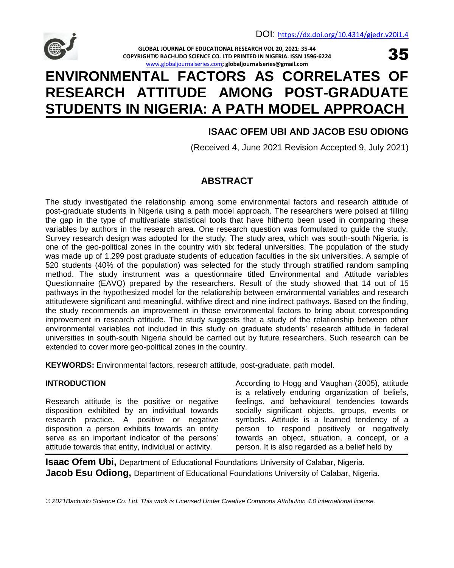

35

**GLOBAL JOURNAL OF EDUCATIONAL RESEARCH VOL 20, 2021: 35-44 COPYRIGHT© BACHUDO SCIENCE CO. LTD PRINTED IN NIGERIA. ISSN 1596-6224** [www.globaljournalseries.com](http://www.globaljournalseries.com/)**; globaljournalseries@gmail.com**

# **ENVIRONMENTAL FACTORS AS CORRELATES OF RESEARCH ATTITUDE AMONG POST-GRADUATE STUDENTS IN NIGERIA: A PATH MODEL APPROACH**

# **ISAAC OFEM UBI AND JACOB ESU ODIONG**

(Received 4, June 2021 Revision Accepted 9, July 2021)

# **ABSTRACT**

The study investigated the relationship among some environmental factors and research attitude of post-graduate students in Nigeria using a path model approach. The researchers were poised at filling the gap in the type of multivariate statistical tools that have hitherto been used in comparing these variables by authors in the research area. One research question was formulated to guide the study. Survey research design was adopted for the study. The study area, which was south-south Nigeria, is one of the geo-political zones in the country with six federal universities. The population of the study was made up of 1,299 post graduate students of education faculties in the six universities. A sample of 520 students (40% of the population) was selected for the study through stratified random sampling method. The study instrument was a questionnaire titled Environmental and Attitude variables Questionnaire (EAVQ) prepared by the researchers. Result of the study showed that 14 out of 15 pathways in the hypothesized model for the relationship between environmental variables and research attitudewere significant and meaningful, withfive direct and nine indirect pathways. Based on the finding, the study recommends an improvement in those environmental factors to bring about corresponding improvement in research attitude. The study suggests that a study of the relationship between other environmental variables not included in this study on graduate students' research attitude in federal universities in south-south Nigeria should be carried out by future researchers. Such research can be extended to cover more geo-political zones in the country.

**KEYWORDS:** Environmental factors, research attitude, post-graduate, path model.

# **INTRODUCTION**

Research attitude is the positive or negative disposition exhibited by an individual towards research practice. A positive or negative disposition a person exhibits towards an entity serve as an important indicator of the persons' attitude towards that entity, individual or activity.

According to Hogg and Vaughan (2005), attitude is a relatively enduring organization of beliefs, feelings, and behavioural tendencies towards socially significant objects, groups, events or symbols. Attitude is a learned tendency of a person to respond positively or negatively towards an object, situation, a concept, or a person. It is also regarded as a belief held by

**Isaac Ofem Ubi,** Department of Educational Foundations University of Calabar, Nigeria. **Jacob Esu Odiong,** Department of Educational Foundations University of Calabar, Nigeria.

*© 2021Bachudo Science Co. Ltd. This work is Licensed Under Creative Commons Attribution 4.0 international license.*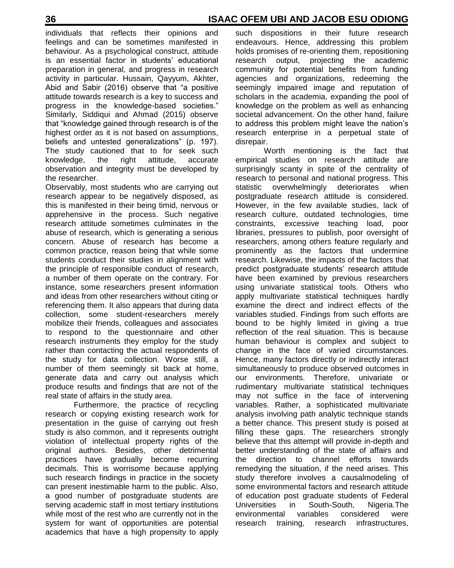individuals that reflects their opinions and feelings and can be sometimes manifested in behaviour. As a psychological construct, attitude is an essential factor in students' educational preparation in general, and progress in research activity in particular. Hussain, Qayyum, Akhter, Abid and Sabir (2016) observe that "a positive attitude towards research is a key to success and progress in the knowledge-based societies." Similarly, Siddiqui and Ahmad (2015) observe that "knowledge gained through research is of the highest order as it is not based on assumptions, beliefs and untested generalizations" (p. 197). The study cautioned that to for seek such knowledge, the right attitude, accurate observation and integrity must be developed by the researcher.

Observably, most students who are carrying out research appear to be negatively disposed, as this is manifested in their being timid, nervous or apprehensive in the process. Such negative research attitude sometimes culminates in the abuse of research, which is generating a serious concern. Abuse of research has become a common practice, reason being that while some students conduct their studies in alignment with the principle of responsible conduct of research, a number of them operate on the contrary. For instance, some researchers present information and ideas from other researchers without citing or referencing them. It also appears that during data collection, some student-researchers merely mobilize their friends, colleagues and associates to respond to the questionnaire and other research instruments they employ for the study rather than contacting the actual respondents of the study for data collection. Worse still, a number of them seemingly sit back at home, generate data and carry out analysis which produce results and findings that are not of the real state of affairs in the study area.

Furthermore, the practice of recycling research or copying existing research work for presentation in the guise of carrying out fresh study is also common, and it represents outright violation of intellectual property rights of the original authors. Besides, other detrimental practices have gradually become recurring decimals. This is worrisome because applying such research findings in practice in the society can present inestimable harm to the public. Also, a good number of postgraduate students are serving academic staff in most tertiary institutions while most of the rest who are currently not in the system for want of opportunities are potential academics that have a high propensity to apply

such dispositions in their future research endeavours. Hence, addressing this problem holds promises of re-orienting them, repositioning research output, projecting the academic community for potential benefits from funding agencies and organizations, redeeming the seemingly impaired image and reputation of scholars in the academia, expanding the pool of knowledge on the problem as well as enhancing societal advancement. On the other hand, failure to address this problem might leave the nation's research enterprise in a perpetual state of disrepair.

Worth mentioning is the fact that empirical studies on research attitude are surprisingly scanty in spite of the centrality of research to personal and national progress. This statistic overwhelmingly deteriorates when postgraduate research attitude is considered. However, in the few available studies, lack of research culture, outdated technologies, time constraints, excessive teaching load, poor libraries, pressures to publish, poor oversight of researchers, among others feature regularly and prominently as the factors that undermine research. Likewise, the impacts of the factors that predict postgraduate students" research attitude have been examined by previous researchers using univariate statistical tools. Others who apply multivariate statistical techniques hardly examine the direct and indirect effects of the variables studied. Findings from such efforts are bound to be highly limited in giving a true reflection of the real situation. This is because human behaviour is complex and subject to change in the face of varied circumstances. Hence, many factors directly or indirectly interact simultaneously to produce observed outcomes in our environments. Therefore, univariate or rudimentary multivariate statistical techniques may not suffice in the face of intervening variables. Rather, a sophisticated multivariate analysis involving path analytic technique stands a better chance. This present study is poised at filling these gaps. The researchers strongly believe that this attempt will provide in-depth and better understanding of the state of affairs and the direction to channel efforts towards remedying the situation, if the need arises. This study therefore involves a causalmodeling of some environmental factors and research attitude of education post graduate students of Federal Universities in South-South, Nigeria.The environmental variables considered were research training, research infrastructures,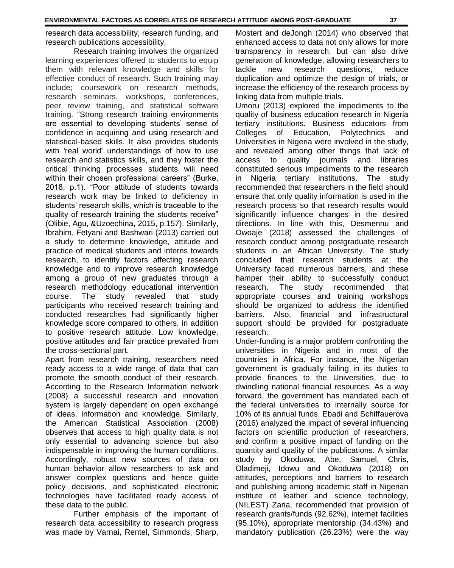research data accessibility, research funding, and research publications accessibility.

Research training involves the organized learning experiences offered to students to equip them with relevant knowledge and skills for effective conduct of research. Such training may include; coursework on research methods, research seminars, workshops, conferences, peer review training, and statistical software training. "Strong research training environments are essential to developing students' sense of confidence in acquiring and using research and statistical-based skills. It also provides students with 'real world' understandings of how to use research and statistics skills, and they foster the critical thinking processes students will need within their chosen professional careers" (Burke, 2018, p.1). "Poor attitude of students towards research work may be linked to deficiency in students' research skills, which is traceable to the quality of research training the students receive" (Olibie, Agu, &Uzoechina, 2015, p.157). Similarly, Ibrahim, Fetyani and Bashwari (2013) carried out a study to determine knowledge, attitude and practice of medical students and interns towards research, to identify factors affecting research knowledge and to improve research knowledge among a group of new graduates through a research methodology educational intervention course. The study revealed that study participants who received research training and conducted researches had significantly higher knowledge score compared to others, in addition to positive research attitude. Low knowledge, positive attitudes and fair practice prevailed from the cross-sectional part.

Apart from research training, researchers need ready access to a wide range of data that can promote the smooth conduct of their research. According to the Research Information network (2008) a successful research and innovation system is largely dependent on open exchange of ideas, information and knowledge. Similarly, the American Statistical Association (2008) observes that access to high quality data is not only essential to advancing science but also indispensable in improving the human conditions. Accordingly, robust new sources of data on human behavior allow researchers to ask and answer complex questions and hence guide policy decisions, and sophisticated electronic technologies have facilitated ready access of these data to the public.

Further emphasis of the important of research data accessibility to research progress was made by Varnai, Rentel, Simmonds, Sharp,

Mostert and deJongh (2014) who observed that enhanced access to data not only allows for more transparency in research, but can also drive generation of knowledge, allowing researchers to tackle new research questions, reduce duplication and optimize the design of trials, or increase the efficiency of the research process by linking data from multiple trials.

Umoru (2013) explored the impediments to the quality of business education research in Nigeria tertiary institutions. Business educators from Colleges of Education, Polytechnics and Universities in Nigeria were involved in the study, and revealed among other things that lack of access to quality journals and libraries constituted serious impediments to the research in Nigeria tertiary institutions. The study recommended that researchers in the field should ensure that only quality information is used in the research process so that research results would significantly influence changes in the desired directions. In line with this, Desmennu and Owoaje (2018) assessed the challenges of research conduct among postgraduate research students in an African University. The study concluded that research students at the University faced numerous barriers, and these hamper their ability to successfully conduct research. The study recommended that appropriate courses and training workshops should be organized to address the identified barriers. Also, financial and infrastructural support should be provided for postgraduate research.

Under-funding is a major problem confronting the universities in Nigeria and in most of the countries in Africa. For instance, the Nigerian government is gradually failing in its duties to provide finances to the Universities, due to dwindling national financial resources. As a way forward, the government has mandated each of the federal universities to internally source for 10% of its annual funds. Ebadi and Schiffauerova (2016) analyzed the impact of several influencing factors on scientific production of researchers, and confirm a positive impact of funding on the quantity and quality of the publications. A similar study by Okoduwa, Abe, Samuel, Chris, Oladimeji, Idowu and Okoduwa (2018) on attitudes, perceptions and barriers to research and publishing among academic staff in Nigerian institute of leather and science technology, (NILEST) Zaria, recommended that provision of research grants/funds (92.62%), internet facilities (95.10%), appropriate mentorship (34.43%) and mandatory publication (26.23%) were the way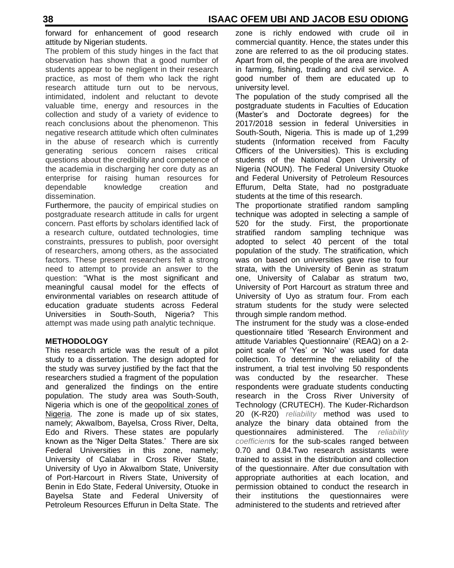forward for enhancement of good research attitude by Nigerian students.

The problem of this study hinges in the fact that observation has shown that a good number of students appear to be negligent in their research practice, as most of them who lack the right research attitude turn out to be nervous, intimidated, indolent and reluctant to devote valuable time, energy and resources in the collection and study of a variety of evidence to reach conclusions about the phenomenon. This negative research attitude which often culminates in the abuse of research which is currently generating serious concern raises critical questions about the credibility and competence of the academia in discharging her core duty as an enterprise for raising human resources for dependable knowledge creation and dissemination.

Furthermore, the paucity of empirical studies on postgraduate research attitude in calls for urgent concern. Past efforts by scholars identified lack of a research culture, outdated technologies, time constraints, pressures to publish, poor oversight of researchers, among others, as the associated factors. These present researchers felt a strong need to attempt to provide an answer to the question: "What is the most significant and meaningful causal model for the effects of environmental variables on research attitude of education graduate students across Federal Universities in South-South, Nigeria? This attempt was made using path analytic technique.

# **METHODOLOGY**

This research article was the result of a pilot study to a dissertation. The design adopted for the study was survey justified by the fact that the researchers studied a fragment of the population and generalized the findings on the entire population. The study area was South-South, Nigeria which is one of the [geopolitical zones of](https://en.wikipedia.org/wiki/Geopolitical_zones_of_Nigeria)  [Nigeria.](https://en.wikipedia.org/wiki/Geopolitical_zones_of_Nigeria) The zone is made up of six states, namely; AkwaIbom, Bayelsa, Cross River, Delta, Edo and Rivers. These states are popularly known as the "Niger Delta States." There are six Federal Universities in this zone, namely; University of Calabar in Cross River State, University of Uyo in AkwaIbom State, University of Port-Harcourt in Rivers State, University of Benin in Edo State, Federal University, Otuoke in Bayelsa State and Federal University of Petroleum Resources Effurun in Delta State. The

zone is richly endowed with crude oil in commercial quantity. Hence, the states under this zone are referred to as the oil producing states. Apart from oil, the people of the area are involved in farming, fishing, trading and civil service. A good number of them are educated up to university level.

The population of the study comprised all the postgraduate students in Faculties of Education (Master"s and Doctorate degrees) for the 2017/2018 session in federal Universities in South-South, Nigeria. This is made up of 1,299 students (Information received from Faculty Officers of the Universities). This is excluding students of the National Open University of Nigeria (NOUN). The Federal University Otuoke and Federal University of Petroleum Resources Effurum, Delta State, had no postgraduate students at the time of this research.

The proportionate stratified random sampling technique was adopted in selecting a sample of 520 for the study. First, the proportionate stratified random sampling technique was adopted to select 40 percent of the total population of the study. The stratification, which was on based on universities gave rise to four strata, with the University of Benin as stratum one, University of Calabar as stratum two, University of Port Harcourt as stratum three and University of Uyo as stratum four. From each stratum students for the study were selected through simple random method.

The instrument for the study was a close-ended questionnaire titled "Research Environment and attitude Variables Questionnaire" (REAQ) on a 2 point scale of "Yes" or "No" was used for data collection. To determine the reliability of the instrument, a trial test involving 50 respondents was conducted by the researcher. These respondents were graduate students conducting research in the Cross River University of Technology (CRUTECH). The Kuder-Richardson 20 (K-R20) *reliability* method was used to analyze the binary data obtained from the questionnaires administered. The *reliability coefficient*s for the sub-scales ranged between 0.70 and 0.84.Two research assistants were trained to assist in the distribution and collection of the questionnaire. After due consultation with appropriate authorities at each location, and permission obtained to conduct the research in their institutions the questionnaires were administered to the students and retrieved after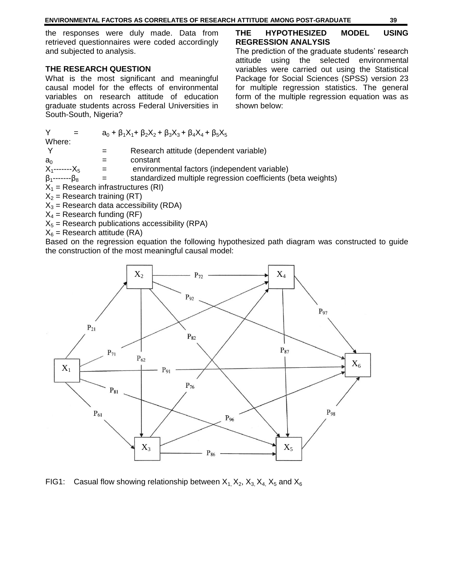#### **ENVIRONMENTAL FACTORS AS CORRELATES OF RESEARCH ATTITUDE AMONG POST-GRADUATE 39**

the responses were duly made. Data from retrieved questionnaires were coded accordingly and subjected to analysis.

#### **THE RESEARCH QUESTION**

What is the most significant and meaningful causal model for the effects of environmental variables on research attitude of education graduate students across Federal Universities in South-South, Nigeria?

# **THE HYPOTHESIZED MODEL USING REGRESSION ANALYSIS**

The prediction of the graduate students' research attitude using the selected environmental variables were carried out using the Statistical Package for Social Sciences (SPSS) version 23 for multiple regression statistics. The general form of the multiple regression equation was as shown below:

|                             |     | $a_0 + \beta_1 X_1 + \beta_2 X_2 + \beta_3 X_3 + \beta_4 X_4 + \beta_5 X_5$ |
|-----------------------------|-----|-----------------------------------------------------------------------------|
| Where:                      |     |                                                                             |
| - Y                         |     | Research attitude (dependent variable)                                      |
| a∩                          |     | constant                                                                    |
| $X_1$ ------- $X_5$         | $=$ | environmental factors (independent variable)                                |
| $\beta_1$ ------- $\beta_8$ |     | standardized multiple regression coefficients (beta weights)                |
| $\sim$ $\sim$               |     |                                                                             |

 $X_1$  = Research infrastructures (RI)

 $X_2$  = Research training (RT)

 $X_3$  = Research data accessibility (RDA)

 $X_4$  = Research funding (RF)

 $X_5$  = Research publications accessibility (RPA)

 $X_6$  = Research attitude (RA)

Based on the regression equation the following hypothesized path diagram was constructed to guide the construction of the most meaningful causal model:



FIG1: Casual flow showing relationship between  $X_1, X_2, X_3, X_4, X_5$  and  $X_6$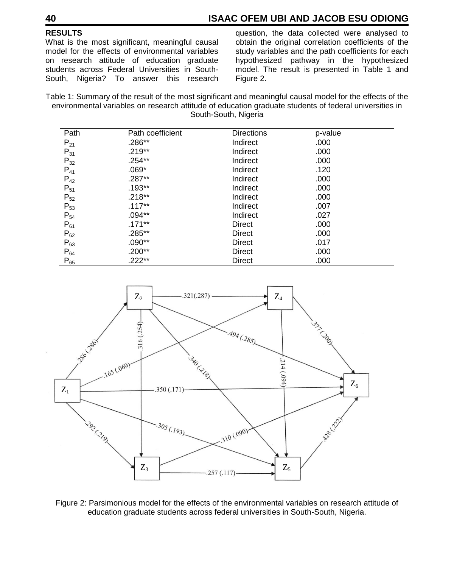# **40 ISAAC OFEM UBI AND JACOB ESU ODIONG**

# **RESULTS**

What is the most significant, meaningful causal model for the effects of environmental variables on research attitude of education graduate students across Federal Universities in South-South, Nigeria? To answer this research

question, the data collected were analysed to obtain the original correlation coefficients of the study variables and the path coefficients for each hypothesized pathway in the hypothesized model. The result is presented in Table 1 and Figure 2.

Table 1: Summary of the result of the most significant and meaningful causal model for the effects of the environmental variables on research attitude of education graduate students of federal universities in South-South, Nigeria

| Path     | Path coefficient | <b>Directions</b> | p-value |  |
|----------|------------------|-------------------|---------|--|
| $P_{21}$ | .286**           | Indirect          | .000    |  |
| $P_{31}$ | $.219**$         | Indirect          | .000    |  |
| $P_{32}$ | $.254**$         | Indirect          | .000    |  |
| $P_{41}$ | $.069*$          | Indirect          | .120    |  |
| $P_{42}$ | $.287**$         | Indirect          | .000    |  |
| $P_{51}$ | $.193**$         | Indirect          | .000    |  |
| $P_{52}$ | $.218**$         | Indirect          | .000    |  |
| $P_{53}$ | $.117**$         | Indirect          | .007    |  |
| $P_{54}$ | $.094**$         | Indirect          | .027    |  |
| $P_{61}$ | $.171***$        | Direct            | .000    |  |
| $P_{62}$ | .285**           | Direct            | .000    |  |
| $P_{63}$ | $.090**$         | Direct            | .017    |  |
| $P_{64}$ | $.200**$         | Direct            | .000    |  |
| $P_{65}$ | .222**           | Direct            | .000    |  |



Figure 2: Parsimonious model for the effects of the environmental variables on research attitude of education graduate students across federal universities in South-South, Nigeria.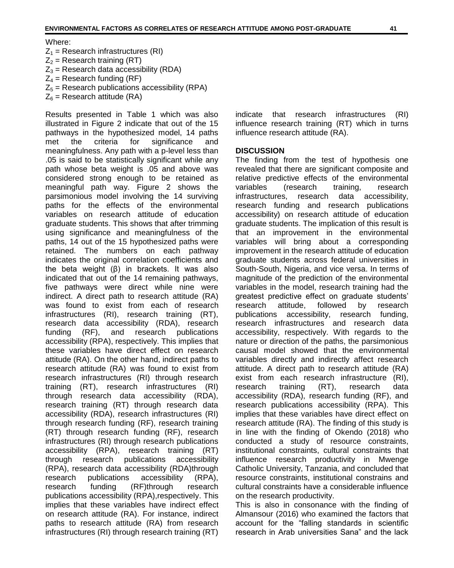Where:

- $Z_1$  = Research infrastructures (RI)  $Z_2$  = Research training (RT)
- $Z_3$  = Research data accessibility (RDA)
- $Z_4$  = Research funding (RF)
- $Z_5$  = Research publications accessibility (RPA)
- $Z_6$  = Research attitude (RA)

Results presented in Table 1 which was also illustrated in Figure 2 indicate that out of the 15 pathways in the hypothesized model, 14 paths met the criteria for significance and meaningfulness. Any path with a p-level less than .05 is said to be statistically significant while any path whose beta weight is .05 and above was considered strong enough to be retained as meaningful path way. Figure 2 shows the parsimonious model involving the 14 surviving paths for the effects of the environmental variables on research attitude of education graduate students. This shows that after trimming using significance and meaningfulness of the paths, 14 out of the 15 hypothesized paths were retained. The numbers on each pathway indicates the original correlation coefficients and the beta weight (β) in brackets. It was also indicated that out of the 14 remaining pathways, five pathways were direct while nine were indirect. A direct path to research attitude (RA) was found to exist from each of research infrastructures (RI), research training (RT), research data accessibility (RDA), research funding (RF), and research publications accessibility (RPA), respectively. This implies that these variables have direct effect on research attitude (RA). On the other hand, indirect paths to research attitude (RA) was found to exist from research infrastructures (RI) through research training (RT), research infrastructures (RI) through research data accessibility (RDA), research training (RT) through research data accessibility (RDA), research infrastructures (RI) through research funding (RF), research training (RT) through research funding (RF), research infrastructures (RI) through research publications accessibility (RPA), research training (RT) through research publications accessibility (RPA), research data accessibility (RDA)through research publications accessibility (RPA), research funding (RF)through research publications accessibility (RPA),respectively. This implies that these variables have indirect effect on research attitude (RA). For instance, indirect paths to research attitude (RA) from research infrastructures (RI) through research training (RT) indicate that research infrastructures (RI) influence research training (RT) which in turns influence research attitude (RA).

#### **DISCUSSION**

The finding from the test of hypothesis one revealed that there are significant composite and relative predictive effects of the environmental variables (research training, research infrastructures, research data accessibility, research funding and research publications accessibility) on research attitude of education graduate students. The implication of this result is that an improvement in the environmental variables will bring about a corresponding improvement in the research attitude of education graduate students across federal universities in South-South, Nigeria, and vice versa. In terms of magnitude of the prediction of the environmental variables in the model, research training had the greatest predictive effect on graduate students" research attitude, followed by research publications accessibility, research funding, research infrastructures and research data accessibility, respectively. With regards to the nature or direction of the paths, the parsimonious causal model showed that the environmental variables directly and indirectly affect research attitude. A direct path to research attitude (RA) exist from each research infrastructure (RI), research training (RT), research data accessibility (RDA), research funding (RF), and research publications accessibility (RPA). This implies that these variables have direct effect on research attitude (RA). The finding of this study is in line with the finding of Okendo (2018) who conducted a study of resource constraints, institutional constraints, cultural constraints that influence research productivity in Mwenge Catholic University, Tanzania, and concluded that resource constraints, institutional constrains and cultural constraints have a considerable influence on the research productivity.

This is also in consonance with the finding of Almansour (2016) who examined the factors that account for the "falling standards in scientific research in Arab universities Sana" and the lack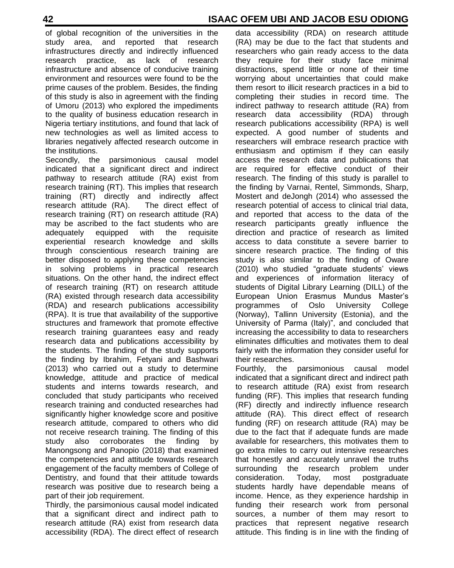# **42 ISAAC OFEM UBI AND JACOB ESU ODIONG**

of global recognition of the universities in the study area, and reported that research infrastructures directly and indirectly influenced research practice, as lack of research infrastructure and absence of conducive training environment and resources were found to be the prime causes of the problem. Besides, the finding of this study is also in agreement with the finding of Umoru (2013) who explored the impediments to the quality of business education research in Nigeria tertiary institutions, and found that lack of new technologies as well as limited access to libraries negatively affected research outcome in the institutions.

Secondly, the parsimonious causal model indicated that a significant direct and indirect pathway to research attitude (RA) exist from research training (RT). This implies that research training (RT) directly and indirectly affect research attitude (RA). The direct effect of research training (RT) on research attitude (RA) may be ascribed to the fact students who are adequately equipped with the requisite experiential research knowledge and skills through conscientious research training are better disposed to applying these competencies in solving problems in practical research situations. On the other hand, the indirect effect of research training (RT) on research attitude (RA) existed through research data accessibility (RDA) and research publications accessibility (RPA). It is true that availability of the supportive structures and framework that promote effective research training guarantees easy and ready research data and publications accessibility by the students. The finding of the study supports the finding by Ibrahim, Fetyani and Bashwari (2013) who carried out a study to determine knowledge, attitude and practice of medical students and interns towards research, and concluded that study participants who received research training and conducted researches had significantly higher knowledge score and positive research attitude, compared to others who did not receive research training. The finding of this study also corroborates the finding by Manongsong and Panopio (2018) that examined the competencies and attitude towards research engagement of the faculty members of College of Dentistry, and found that their attitude towards research was positive due to research being a part of their job requirement.

Thirdly, the parsimonious causal model indicated that a significant direct and indirect path to research attitude (RA) exist from research data accessibility (RDA). The direct effect of research

data accessibility (RDA) on research attitude (RA) may be due to the fact that students and researchers who gain ready access to the data they require for their study face minimal distractions, spend little or none of their time worrying about uncertainties that could make them resort to illicit research practices in a bid to completing their studies in record time. The indirect pathway to research attitude (RA) from research data accessibility (RDA) through research publications accessibility (RPA) is well expected. A good number of students and researchers will embrace research practice with enthusiasm and optimism if they can easily access the research data and publications that are required for effective conduct of their research. The finding of this study is parallel to the finding by Varnai, Rentel, Simmonds, Sharp, Mostert and deJongh (2014) who assessed the research potential of access to clinical trial data, and reported that access to the data of the research participants greatly influence the direction and practice of research as limited access to data constitute a severe barrier to sincere research practice. The finding of this study is also similar to the finding of Oware (2010) who studied "graduate students" views and experiences of information literacy of students of Digital Library Learning (DILL) of the European Union Erasmus Mundus Master"s programmes of Oslo University College (Norway), Tallinn University (Estonia), and the University of Parma (Italy)", and concluded that increasing the accessibility to data to researchers eliminates difficulties and motivates them to deal fairly with the information they consider useful for their researches.

Fourthly, the parsimonious causal model indicated that a significant direct and indirect path to research attitude (RA) exist from research funding (RF). This implies that research funding (RF) directly and indirectly influence research attitude (RA). This direct effect of research funding (RF) on research attitude (RA) may be due to the fact that if adequate funds are made available for researchers, this motivates them to go extra miles to carry out intensive researches that honestly and accurately unravel the truths surrounding the research problem under consideration. Today, most postgraduate students hardly have dependable means of income. Hence, as they experience hardship in funding their research work from personal sources, a number of them may resort to practices that represent negative research attitude. This finding is in line with the finding of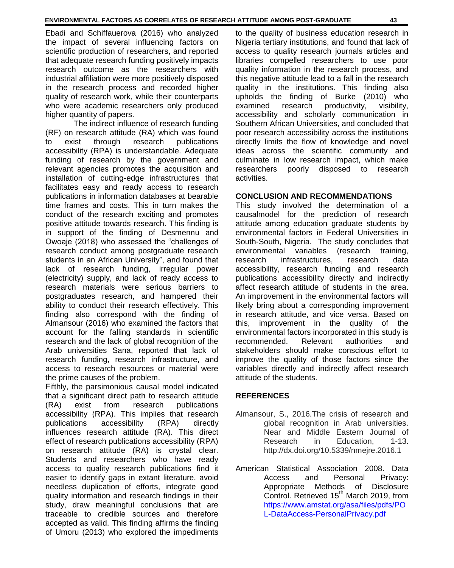Ebadi and Schiffauerova (2016) who analyzed the impact of several influencing factors on scientific production of researchers, and reported that adequate research funding positively impacts research outcome as the researchers with industrial affiliation were more positively disposed in the research process and recorded higher quality of research work, while their counterparts who were academic researchers only produced higher quantity of papers.

The indirect influence of research funding (RF) on research attitude (RA) which was found to exist through research publications accessibility (RPA) is understandable. Adequate funding of research by the government and relevant agencies promotes the acquisition and installation of cutting-edge infrastructures that facilitates easy and ready access to research publications in information databases at bearable time frames and costs. This in turn makes the conduct of the research exciting and promotes positive attitude towards research. This finding is in support of the finding of Desmennu and Owoaje (2018) who assessed the "challenges of research conduct among postgraduate research students in an African University", and found that lack of research funding, irregular power (electricity) supply, and lack of ready access to research materials were serious barriers to postgraduates research, and hampered their ability to conduct their research effectively. This finding also correspond with the finding of Almansour (2016) who examined the factors that account for the falling standards in scientific research and the lack of global recognition of the Arab universities Sana, reported that lack of research funding, research infrastructure, and access to research resources or material were the prime causes of the problem.

Fifthly, the parsimonious causal model indicated that a significant direct path to research attitude (RA) exist from research publications accessibility (RPA). This implies that research publications accessibility (RPA) directly influences research attitude (RA). This direct effect of research publications accessibility (RPA) on research attitude (RA) is crystal clear. Students and researchers who have ready access to quality research publications find it easier to identify gaps in extant literature, avoid needless duplication of efforts, integrate good quality information and research findings in their study, draw meaningful conclusions that are traceable to credible sources and therefore accepted as valid. This finding affirms the finding of Umoru (2013) who explored the impediments

to the quality of business education research in Nigeria tertiary institutions, and found that lack of access to quality research journals articles and libraries compelled researchers to use poor quality information in the research process, and this negative attitude lead to a fall in the research quality in the institutions. This finding also upholds the finding of Burke (2010) who examined research productivity, visibility, accessibility and scholarly communication in Southern African Universities, and concluded that poor research accessibility across the institutions directly limits the flow of knowledge and novel ideas across the scientific community and culminate in low research impact, which make researchers poorly disposed to research activities.

#### **CONCLUSION AND RECOMMENDATIONS**

This study involved the determination of a causalmodel for the prediction of research attitude among education graduate students by environmental factors in Federal Universities in South-South, Nigeria. The study concludes that environmental variables (research training, research infrastructures, research data accessibility, research funding and research publications accessibility directly and indirectly affect research attitude of students in the area. An improvement in the environmental factors will likely bring about a corresponding improvement in research attitude, and vice versa. Based on this, improvement in the quality of the environmental factors incorporated in this study is recommended. Relevant authorities and stakeholders should make conscious effort to improve the quality of those factors since the variables directly and indirectly affect research attitude of the students.

# **REFERENCES**

- Almansour, S., 2016.The crisis of research and global recognition in Arab universities. Near and Middle Eastern Journal of Research in Education, 1-13. <http://dx.doi.org/10.5339/nmejre.2016.1>
- American Statistical Association 2008. Data Access and Personal Privacy: Appropriate Methods of Disclosure Control. Retrieved 15<sup>th</sup> March 2019, from [https://www.amstat.org/asa/files/pdfs/PO](https://www.amstat.org/asa/files/pdfs/PO%09L-DataAccess-PersonalPrivacy.pdf) [L-DataAccess-PersonalPrivacy.pdf](https://www.amstat.org/asa/files/pdfs/PO%09L-DataAccess-PersonalPrivacy.pdf)